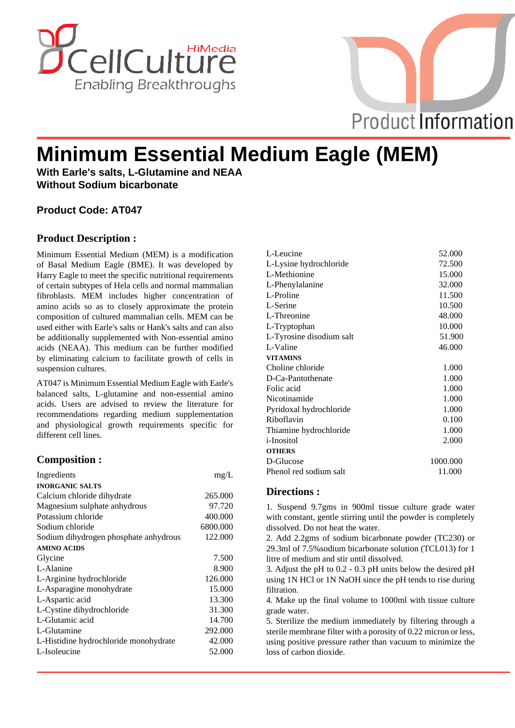



# **Minimum Essential Medium Eagle (MEM)**

**With Earle's salts, L-Glutamine and NEAA Without Sodium bicarbonate**

# **Product Code: AT047**

# **Product Description :**

Minimum Essential Medium (MEM) is a modification of Basal Medium Eagle (BME). It was developed by Harry Eagle to meet the specific nutritional requirements of certain subtypes of Hela cells and normal mammalian fibroblasts. MEM includes higher concentration of amino acids so as to closely approximate the protein composition of cultured mammalian cells. MEM can be used either with Earle's salts or Hank's salts and can also be additionally supplemented with Non-essential amino acids (NEAA). This medium can be further modified by eliminating calcium to facilitate growth of cells in suspension cultures.

AT047 is Minimum Essential Medium Eagle with Earle's balanced salts, L-glutamine and non-essential amino acids. Users are advised to review the literature for recommendations regarding medium supplementation and physiological growth requirements specific for different cell lines.

## **Composition :**

| Ingredients                           | mg/L     |
|---------------------------------------|----------|
| <b>INORGANIC SALTS</b>                |          |
| Calcium chloride dihydrate            | 265,000  |
| Magnesium sulphate anhydrous          | 97.720   |
| Potassium chloride                    | 400.000  |
| Sodium chloride                       | 6800.000 |
| Sodium dihydrogen phosphate anhydrous | 122.000  |
| <b>AMINO ACIDS</b>                    |          |
| Glycine                               | 7.500    |
| L-Alanine                             | 8.900    |
| L-Arginine hydrochloride              | 126.000  |
| L-Asparagine monohydrate              | 15.000   |
| L-Aspartic acid                       | 13.300   |
| L-Cystine dihydrochloride             | 31.300   |
| L-Glutamic acid                       | 14.700   |
| L-Glutamine                           | 292.000  |
| L-Histidine hydrochloride monohydrate | 42.000   |
| L-Isoleucine                          | 52.000   |
|                                       |          |

| L-Leucine                | 52.000   |
|--------------------------|----------|
| L-Lysine hydrochloride   | 72.500   |
| L-Methionine             | 15.000   |
| L-Phenylalanine          | 32.000   |
| L-Proline                | 11.500   |
| L-Serine                 | 10.500   |
| L-Threonine              | 48.000   |
| L-Tryptophan             | 10.000   |
| L-Tyrosine disodium salt | 51.900   |
| L-Valine                 | 46.000   |
| <b>VITAMINS</b>          |          |
| Choline chloride         | 1.000    |
| D-Ca-Pantothenate        | 1.000    |
| Folic acid               | 1.000    |
| Nicotinamide             | 1.000    |
| Pyridoxal hydrochloride  | 1.000    |
| Riboflavin               | 0.100    |
| Thiamine hydrochloride   | 1.000    |
| <i>i</i> -Inositol       | 2.000    |
| <b>OTHERS</b>            |          |
| D-Glucose                | 1000.000 |
| Phenol red sodium salt   | 11.000   |
|                          |          |

## **Directions :**

1. Suspend 9.7gms in 900ml tissue culture grade water with constant, gentle stirring until the powder is completely dissolved. Do not heat the water.

2. Add 2.2gms of sodium bicarbonate powder (TC230) or 29.3ml of 7.5%sodium bicarbonate solution (TCL013) for 1 litre of medium and stir until dissolved.

3. Adjust the pH to 0.2 - 0.3 pH units below the desired pH using 1N HCl or 1N NaOH since the pH tends to rise during filtration.

4. Make up the final volume to 1000ml with tissue culture grade water.

5. Sterilize the medium immediately by filtering through a sterile membrane filter with a porosity of 0.22 micron or less, using positive pressure rather than vacuum to minimize the loss of carbon dioxide.